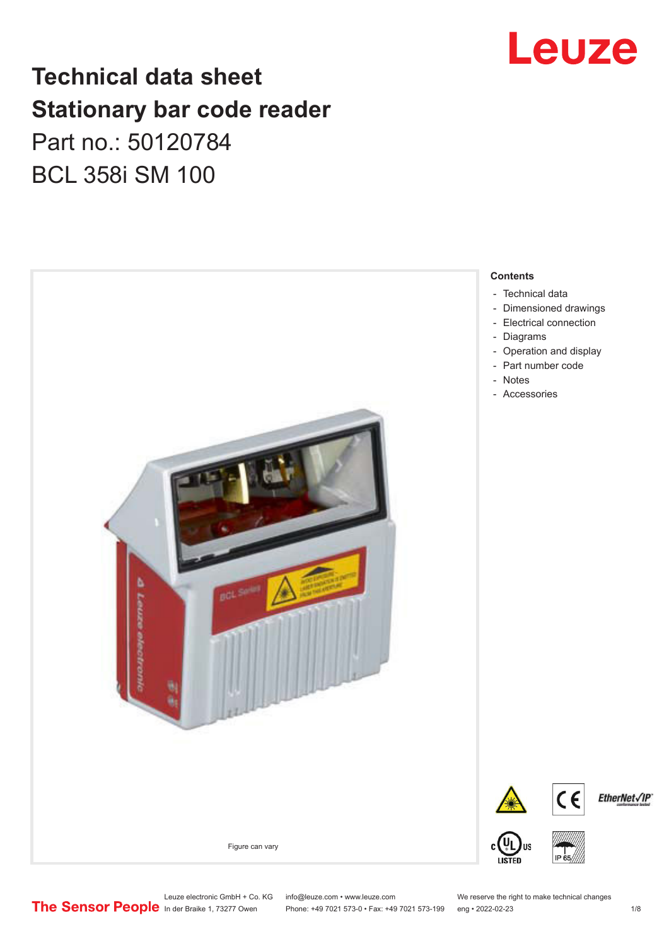

## **Technical data sheet Stationary bar code reader** Part no.: 50120784 BCL 358i SM 100



Leuze electronic GmbH + Co. KG info@leuze.com • www.leuze.com We reserve the right to make technical changes<br>
The Sensor People in der Braike 1, 73277 Owen Phone: +49 7021 573-0 • Fax: +49 7021 573-199 eng • 2022-02-23

Phone: +49 7021 573-0 • Fax: +49 7021 573-199 eng • 2022-02-23 1 /8

EtherNet√IP®

- 
- [Dimensioned drawings](#page-2-0)
- 
- [Operation and display](#page-3-0)
-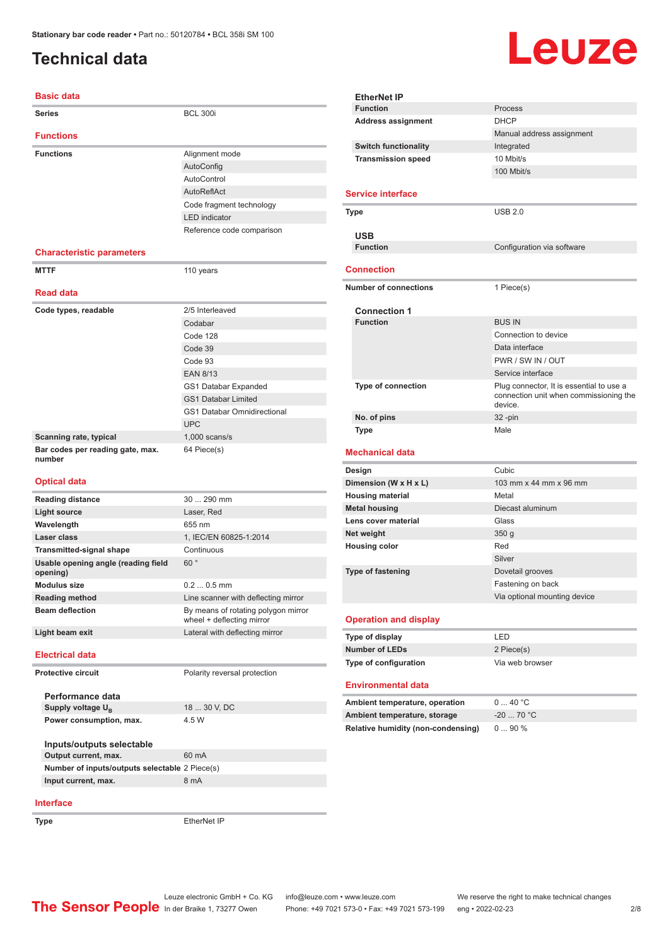### <span id="page-1-0"></span>**Technical data**

# Leuze

#### **Basic data Series** BCL 300i **Functions Functions** Alignment mode AutoConfig AutoControl AutoReflAct Code fragment technology LED indicator Reference code comparison **Characteristic parameters MTTF** 110 years **Read data** Code types, readable 2/5 Interleaved Codabar Code 128 Code 39 Code 93 EAN 8/13 GS1 Databar Expanded GS1 Databar Limited GS1 Databar Omnidirectional UPC **Scanning rate, typical** 1,000 scans/s **Bar codes per reading gate, max. number** 64 Piece(s) **Optical data Reading distance** 30 ... 290 mm **Light source** Laser, Red **Wavelength** 655 nm **Laser class** 1, IEC/EN 60825-1:2014 **Transmitted-signal shape Continuous Usable opening angle (reading field opening)** 60 ° **Modulus size** 0.2 ... 0.5 mm **Reading method** Line scanner with deflecting mirror **Beam deflection By means of rotating polygon mirror** wheel + deflecting mirror **Light beam exit** Lateral with deflecting mirror **Electrical data Protective circuit** Polarity reversal protection

**Performance data** Supply voltage  $U_B$ 18 ... 30 V, DC **Power consumption, max.** 4.5 W **Inputs/outputs selectable Output current, max.** 60 mA **Number of inputs/outputs selectable** 2 Piece(s) **Input current, max.** 8 mA

| <b>EtherNet IP</b>                                                        |                                                                                               |
|---------------------------------------------------------------------------|-----------------------------------------------------------------------------------------------|
| <b>Function</b>                                                           | Process                                                                                       |
| <b>Address assignment</b>                                                 | <b>DHCP</b>                                                                                   |
|                                                                           | Manual address assignment                                                                     |
| <b>Switch functionality</b>                                               | Integrated                                                                                    |
| <b>Transmission speed</b>                                                 | 10 Mbit/s                                                                                     |
|                                                                           | 100 Mbit/s                                                                                    |
| <b>Service interface</b>                                                  |                                                                                               |
|                                                                           | USB 2.0                                                                                       |
| Type                                                                      |                                                                                               |
| USB                                                                       |                                                                                               |
| <b>Function</b>                                                           | Configuration via software                                                                    |
|                                                                           |                                                                                               |
| Connection                                                                |                                                                                               |
| <b>Number of connections</b>                                              | 1 Piece(s)                                                                                    |
|                                                                           |                                                                                               |
| <b>Connection 1</b>                                                       |                                                                                               |
| <b>Function</b>                                                           | <b>BUS IN</b>                                                                                 |
|                                                                           | Connection to device                                                                          |
|                                                                           | Data interface                                                                                |
|                                                                           | PWR / SW IN / OUT                                                                             |
|                                                                           | Service interface                                                                             |
| <b>Type of connection</b>                                                 | Plug connector, It is essential to use a<br>connection unit when commissioning the<br>device. |
| No. of pins                                                               | $32 - pin$                                                                                    |
| <b>Type</b>                                                               | Male                                                                                          |
| Mechanical data                                                           |                                                                                               |
|                                                                           |                                                                                               |
| Design                                                                    | Cubic                                                                                         |
| Dimension (W x H x L)                                                     | 103 mm x 44 mm x 96 mm                                                                        |
| <b>Housing material</b>                                                   | Metal                                                                                         |
| <b>Metal housing</b>                                                      | Diecast aluminum                                                                              |
| Lens cover material                                                       | Glass                                                                                         |
| Net weight                                                                | 350q                                                                                          |
| <b>Housing color</b>                                                      | Red                                                                                           |
|                                                                           | Silver                                                                                        |
| <b>Type of fastening</b>                                                  | Dovetail grooves                                                                              |
|                                                                           | Fastening on back                                                                             |
|                                                                           | Via optional mounting device                                                                  |
| <b>Operation and display</b>                                              |                                                                                               |
| Type of display                                                           | LED                                                                                           |
| <b>Number of LEDs</b>                                                     | 2 Piece(s)                                                                                    |
| Type of configuration                                                     | Via web browser                                                                               |
|                                                                           |                                                                                               |
| <b>Environmental data</b>                                                 |                                                                                               |
|                                                                           | 040 °C                                                                                        |
| Ambient temperature, operation                                            | $-20$ 70 °C                                                                                   |
| Ambient temperature, storage<br><b>Relative humidity (non-condensing)</b> | 090%                                                                                          |

#### **Interface**

**Type** EtherNet IP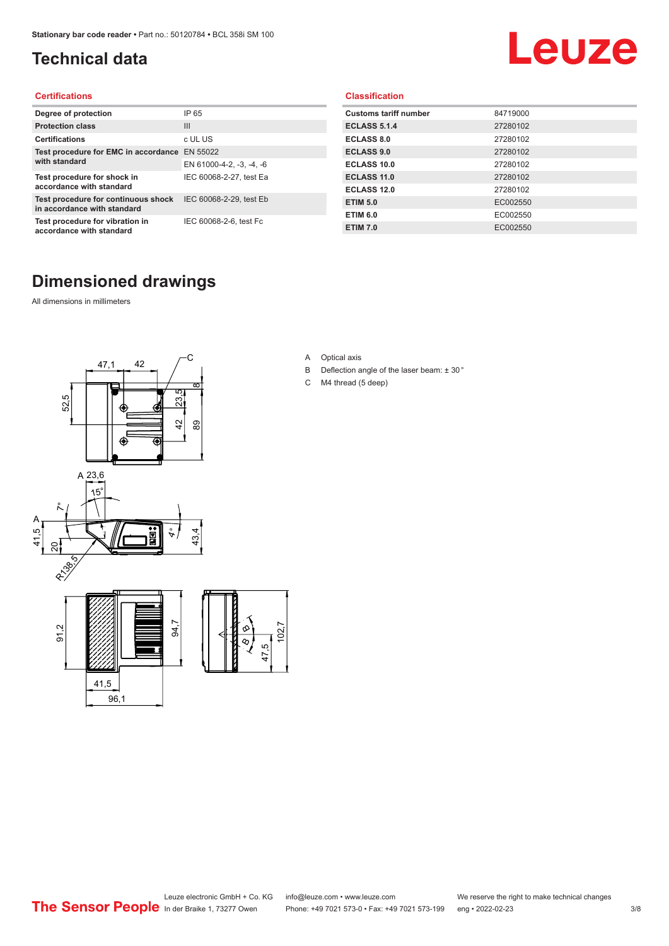### <span id="page-2-0"></span>**Technical data**

# Leuze

#### **Certifications**

| Degree of protection                                               | IP 65                    |
|--------------------------------------------------------------------|--------------------------|
| <b>Protection class</b>                                            | Ш                        |
| <b>Certifications</b>                                              | c UL US                  |
| Test procedure for EMC in accordance EN 55022                      |                          |
| with standard                                                      | EN 61000-4-2, -3, -4, -6 |
| Test procedure for shock in<br>accordance with standard            | IEC 60068-2-27, test Ea  |
| Test procedure for continuous shock<br>in accordance with standard | IEC 60068-2-29, test Eb  |
| Test procedure for vibration in<br>accordance with standard        | IEC 60068-2-6, test Fc   |

#### **Classification**

| <b>Customs tariff number</b> | 84719000 |
|------------------------------|----------|
| <b>ECLASS 5.1.4</b>          | 27280102 |
| <b>ECLASS 8.0</b>            | 27280102 |
| <b>ECLASS 9.0</b>            | 27280102 |
| ECLASS 10.0                  | 27280102 |
| <b>ECLASS 11.0</b>           | 27280102 |
| ECLASS 12.0                  | 27280102 |
| <b>ETIM 5.0</b>              | EC002550 |
| <b>ETIM 6.0</b>              | EC002550 |
| <b>ETIM 7.0</b>              | EC002550 |

### **Dimensioned drawings**

All dimensions in millimeters



- A Optical axis
- B Deflection angle of the laser beam: ± 30 °
- C M4 thread (5 deep)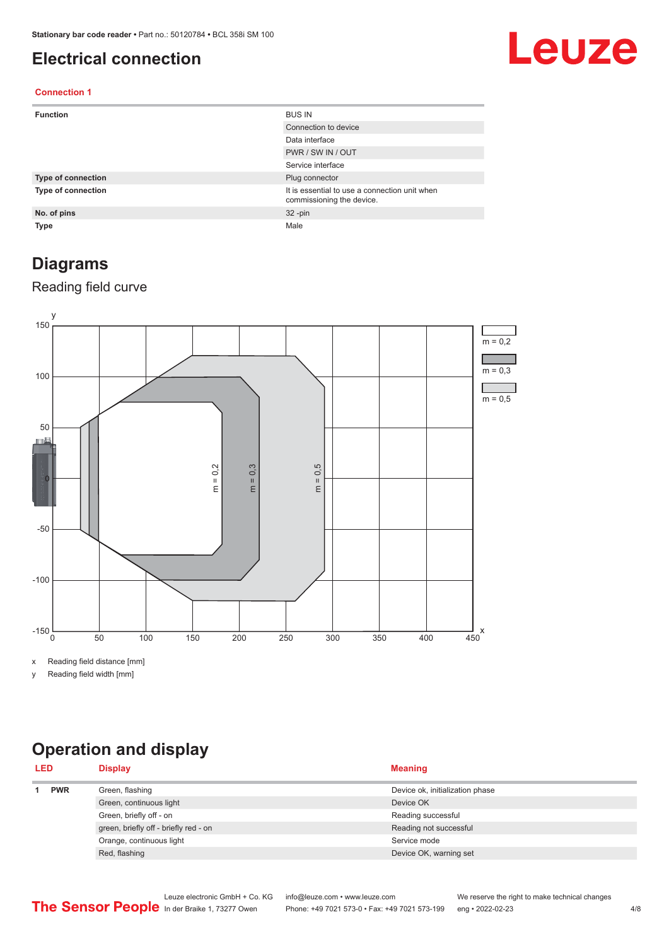#### <span id="page-3-0"></span>**Electrical connection**

# Leuze

#### **Connection 1**

| <b>Function</b>           | <b>BUS IN</b>                                                              |
|---------------------------|----------------------------------------------------------------------------|
|                           | Connection to device                                                       |
|                           | Data interface                                                             |
|                           | PWR / SW IN / OUT                                                          |
|                           | Service interface                                                          |
| <b>Type of connection</b> | Plug connector                                                             |
| <b>Type of connection</b> | It is essential to use a connection unit when<br>commissioning the device. |
| No. of pins               | $32 - pin$                                                                 |
| <b>Type</b>               | Male                                                                       |

#### **Diagrams**

#### Reading field curve



x Reading field distance [mm]

y Reading field width [mm]

### **Operation and display**

| <b>LED</b> |  | <b>Display</b>                        | <b>Meaning</b>                  |
|------------|--|---------------------------------------|---------------------------------|
| <b>PWR</b> |  | Green, flashing                       | Device ok, initialization phase |
|            |  | Green, continuous light               | Device OK                       |
|            |  | Green, briefly off - on               | Reading successful              |
|            |  | green, briefly off - briefly red - on | Reading not successful          |
|            |  | Orange, continuous light              | Service mode                    |
|            |  | Red, flashing                         | Device OK, warning set          |
|            |  |                                       |                                 |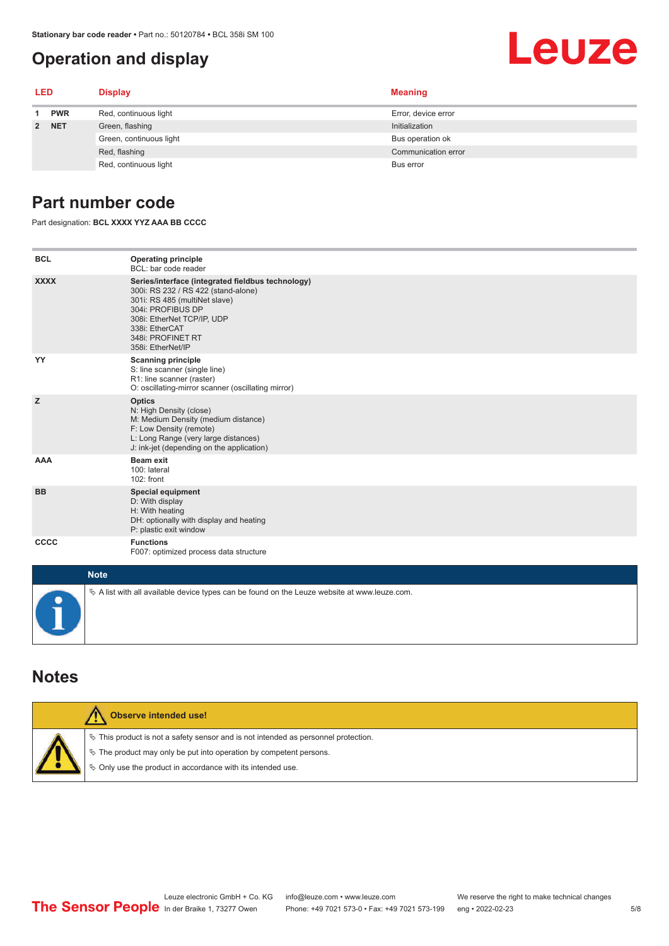#### <span id="page-4-0"></span>**Operation and display**

# Leuze

| <b>LED</b> |            | <b>Display</b>          | <b>Meaning</b>      |  |
|------------|------------|-------------------------|---------------------|--|
| 1          | <b>PWR</b> | Red, continuous light   | Error, device error |  |
|            | 2 NET      | Green, flashing         | Initialization      |  |
|            |            | Green, continuous light | Bus operation ok    |  |
|            |            | Red, flashing           | Communication error |  |
|            |            | Red, continuous light   | Bus error           |  |

#### **Part number code**

Part designation: **BCL XXXX YYZ AAA BB CCCC**

| <b>BCL</b>  | <b>Operating principle</b><br>BCL: bar code reader                                                                                                                                                                                       |
|-------------|------------------------------------------------------------------------------------------------------------------------------------------------------------------------------------------------------------------------------------------|
| <b>XXXX</b> | Series/interface (integrated fieldbus technology)<br>300i: RS 232 / RS 422 (stand-alone)<br>301i: RS 485 (multiNet slave)<br>304i: PROFIBUS DP<br>308i: EtherNet TCP/IP, UDP<br>338i: EtherCAT<br>348i: PROFINET RT<br>358i: EtherNet/IP |
| YY          | <b>Scanning principle</b><br>S: line scanner (single line)<br>R1: line scanner (raster)<br>O: oscillating-mirror scanner (oscillating mirror)                                                                                            |
| z           | <b>Optics</b><br>N: High Density (close)<br>M: Medium Density (medium distance)<br>F: Low Density (remote)<br>L: Long Range (very large distances)<br>J: ink-jet (depending on the application)                                          |
| <b>AAA</b>  | Beam exit<br>100: lateral<br>102: front                                                                                                                                                                                                  |
| <b>BB</b>   | <b>Special equipment</b><br>D: With display<br>H: With heating<br>DH: optionally with display and heating<br>P: plastic exit window                                                                                                      |
| CCCC        | <b>Functions</b><br>F007: optimized process data structure                                                                                                                                                                               |
| <b>Note</b> |                                                                                                                                                                                                                                          |
|             | $\&$ A list with all available device types can be found on the Leuze website at www.leuze.com.                                                                                                                                          |

#### **Notes**

| Observe intended use!                                                                                                                                                                                                         |
|-------------------------------------------------------------------------------------------------------------------------------------------------------------------------------------------------------------------------------|
| $\%$ This product is not a safety sensor and is not intended as personnel protection.<br>$\%$ The product may only be put into operation by competent persons.<br>§ Only use the product in accordance with its intended use. |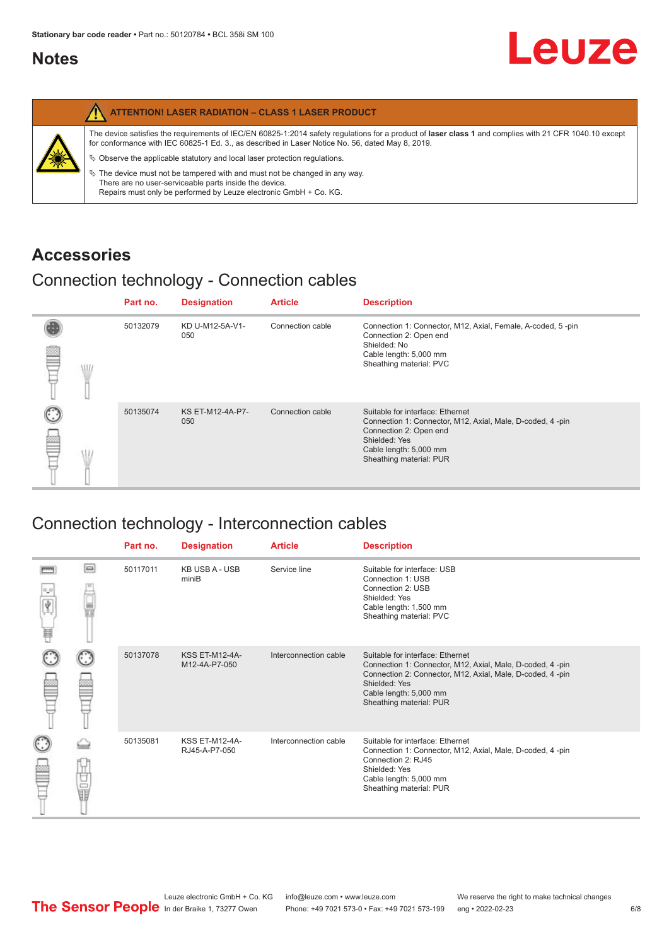#### <span id="page-5-0"></span>**Notes**

| <b>ATTENTION! LASER RADIATION - CLASS 1 LASER PRODUCT</b>                                                                                                                                                                                                                                                                                                                                                                                                                                                                                                   |
|-------------------------------------------------------------------------------------------------------------------------------------------------------------------------------------------------------------------------------------------------------------------------------------------------------------------------------------------------------------------------------------------------------------------------------------------------------------------------------------------------------------------------------------------------------------|
| The device satisfies the requirements of IEC/EN 60825-1:2014 safety requlations for a product of laser class 1 and complies with 21 CFR 1040.10 except<br>for conformance with IEC 60825-1 Ed. 3., as described in Laser Notice No. 56, dated May 8, 2019.<br>$\&$ Observe the applicable statutory and local laser protection regulations.<br>$\%$ The device must not be tampered with and must not be changed in any way.<br>There are no user-serviceable parts inside the device.<br>Repairs must only be performed by Leuze electronic GmbH + Co. KG. |

#### **Accessories**

#### Connection technology - Connection cables

|   |   | Part no. | <b>Designation</b>      | <b>Article</b>   | <b>Description</b>                                                                                                                                                                            |
|---|---|----------|-------------------------|------------------|-----------------------------------------------------------------------------------------------------------------------------------------------------------------------------------------------|
| ≌ | W | 50132079 | KD U-M12-5A-V1-<br>050  | Connection cable | Connection 1: Connector, M12, Axial, Female, A-coded, 5-pin<br>Connection 2: Open end<br>Shielded: No<br>Cable length: 5,000 mm<br>Sheathing material: PVC                                    |
|   |   | 50135074 | KS ET-M12-4A-P7-<br>050 | Connection cable | Suitable for interface: Ethernet<br>Connection 1: Connector, M12, Axial, Male, D-coded, 4-pin<br>Connection 2: Open end<br>Shielded: Yes<br>Cable length: 5,000 mm<br>Sheathing material: PUR |

### Connection technology - Interconnection cables

|   |     | Part no. | <b>Designation</b>                     | <b>Article</b>        | <b>Description</b>                                                                                                                                                                                                               |
|---|-----|----------|----------------------------------------|-----------------------|----------------------------------------------------------------------------------------------------------------------------------------------------------------------------------------------------------------------------------|
| Ħ | e   | 50117011 | <b>KB USB A - USB</b><br>miniB         | Service line          | Suitable for interface: USB<br>Connection 1: USB<br>Connection 2: USB<br>Shielded: Yes<br>Cable length: 1,500 mm<br>Sheathing material: PVC                                                                                      |
|   |     | 50137078 | <b>KSS ET-M12-4A-</b><br>M12-4A-P7-050 | Interconnection cable | Suitable for interface: Ethernet<br>Connection 1: Connector, M12, Axial, Male, D-coded, 4-pin<br>Connection 2: Connector, M12, Axial, Male, D-coded, 4-pin<br>Shielded: Yes<br>Cable length: 5,000 mm<br>Sheathing material: PUR |
|   | the | 50135081 | <b>KSS ET-M12-4A-</b><br>RJ45-A-P7-050 | Interconnection cable | Suitable for interface: Ethernet<br>Connection 1: Connector, M12, Axial, Male, D-coded, 4-pin<br>Connection 2: RJ45<br>Shielded: Yes<br>Cable length: 5,000 mm<br>Sheathing material: PUR                                        |

Leuze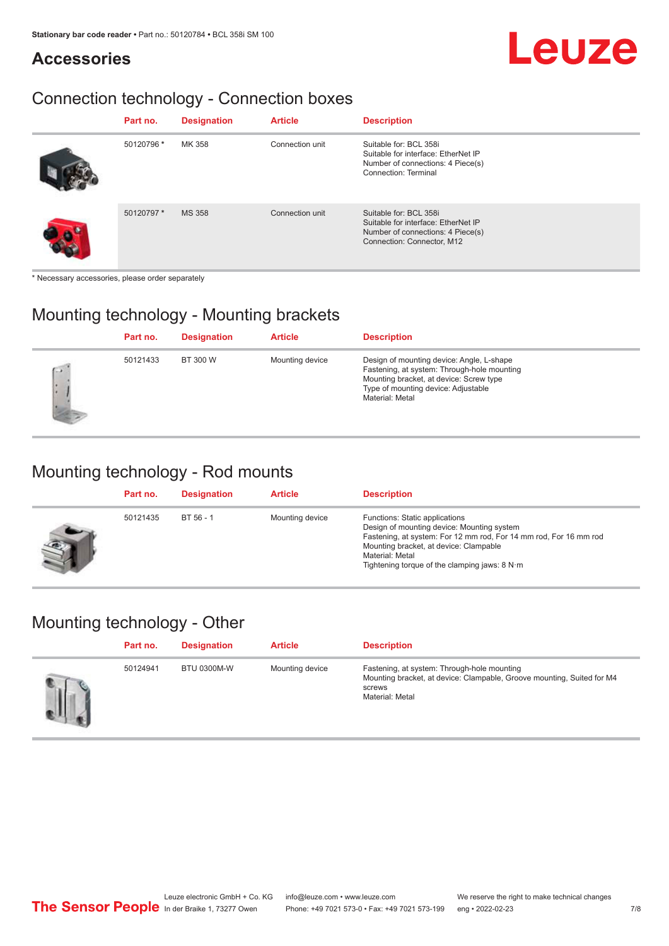#### **Accessories**

# Leuze

### Connection technology - Connection boxes

| Part no.   | <b>Designation</b> | <b>Article</b>  | <b>Description</b>                                                                                                               |
|------------|--------------------|-----------------|----------------------------------------------------------------------------------------------------------------------------------|
| 50120796 * | MK 358             | Connection unit | Suitable for: BCL 358i<br>Suitable for interface: EtherNet IP<br>Number of connections: 4 Piece(s)<br>Connection: Terminal       |
| 50120797*  | <b>MS 358</b>      | Connection unit | Suitable for: BCL 358i<br>Suitable for interface: EtherNet IP<br>Number of connections: 4 Piece(s)<br>Connection: Connector, M12 |

\* Necessary accessories, please order separately

#### Mounting technology - Mounting brackets

|               | Part no. | <b>Designation</b> | <b>Article</b>  | <b>Description</b>                                                                                                                                                                            |
|---------------|----------|--------------------|-----------------|-----------------------------------------------------------------------------------------------------------------------------------------------------------------------------------------------|
| $\rightarrow$ | 50121433 | BT 300 W           | Mounting device | Design of mounting device: Angle, L-shape<br>Fastening, at system: Through-hole mounting<br>Mounting bracket, at device: Screw type<br>Type of mounting device: Adjustable<br>Material: Metal |

#### Mounting technology - Rod mounts

| Part no. | <b>Designation</b> | <b>Article</b>  | <b>Description</b>                                                                                                                                                                                                                                                |
|----------|--------------------|-----------------|-------------------------------------------------------------------------------------------------------------------------------------------------------------------------------------------------------------------------------------------------------------------|
| 50121435 | BT 56 - 1          | Mounting device | Functions: Static applications<br>Design of mounting device: Mounting system<br>Fastening, at system: For 12 mm rod, For 14 mm rod, For 16 mm rod<br>Mounting bracket, at device: Clampable<br>Material: Metal<br>Tightening torque of the clamping jaws: $8 N·m$ |

#### Mounting technology - Other

| Part no. | <b>Designation</b> | <b>Article</b>  | <b>Description</b>                                                                                                                                 |
|----------|--------------------|-----------------|----------------------------------------------------------------------------------------------------------------------------------------------------|
| 50124941 | <b>BTU 0300M-W</b> | Mounting device | Fastening, at system: Through-hole mounting<br>Mounting bracket, at device: Clampable, Groove mounting, Suited for M4<br>screws<br>Material: Metal |